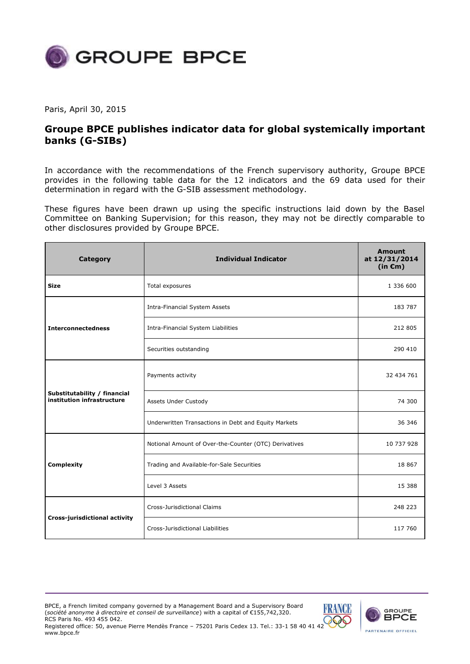

Paris, April 30, 2015

## **Groupe BPCE publishes indicator data for global systemically important banks (G-SIBs)**

In accordance with the recommendations of the French supervisory authority, Groupe BPCE provides in the following table data for the 12 indicators and the 69 data used for their determination in regard with the G-SIB assessment methodology.

These figures have been drawn up using the specific instructions laid down by the Basel Committee on Banking Supervision; for this reason, they may not be directly comparable to other disclosures provided by Groupe BPCE.

| <b>Category</b>                                            | <b>Individual Indicator</b>                           | <b>Amount</b><br>at 12/31/2014<br>(in $\epsilon$ m) |
|------------------------------------------------------------|-------------------------------------------------------|-----------------------------------------------------|
| <b>Size</b>                                                | Total exposures                                       | 1 336 600                                           |
|                                                            | <b>Intra-Financial System Assets</b>                  | 183 787                                             |
| <b>Interconnectedness</b>                                  | Intra-Financial System Liabilities                    | 212 805                                             |
|                                                            | Securities outstanding                                | 290 410                                             |
|                                                            | Payments activity                                     | 32 434 761                                          |
| Substitutability / financial<br>institution infrastructure | Assets Under Custody                                  | 74 300                                              |
|                                                            | Underwritten Transactions in Debt and Equity Markets  | 36 346                                              |
|                                                            | Notional Amount of Over-the-Counter (OTC) Derivatives | 10 737 928                                          |
| Complexity                                                 | Trading and Available-for-Sale Securities             | 18 867                                              |
|                                                            | Level 3 Assets                                        | 15 3 8 8                                            |
|                                                            | <b>Cross-Jurisdictional Claims</b>                    | 248 223                                             |
| Cross-jurisdictional activity                              | Cross-Jurisdictional Liabilities                      | 117 760                                             |

BPCE, a French limited company governed by a Management Board and a Supervisory Board (*société anonyme à directoire et conseil de surveillance*) with a capital of €155,742,320. RCS Paris No. 493 455 042.

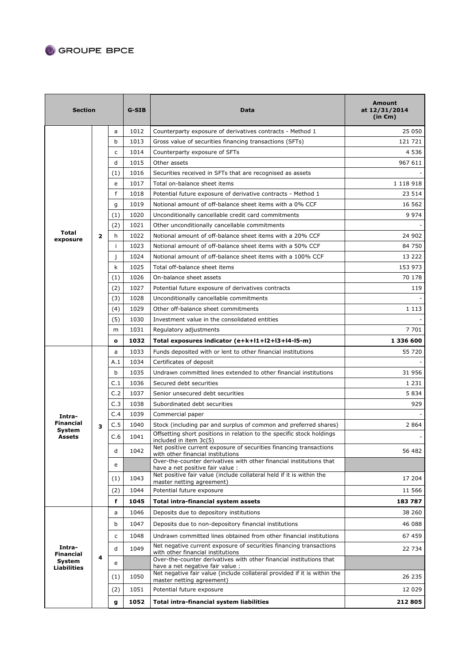## GROUPE BPCE

| <b>Section</b>                    |                         |              | G-SIB | Data                                                                                                    | <b>Amount</b><br>at 12/31/2014<br>(in $\epsilon$ m) |
|-----------------------------------|-------------------------|--------------|-------|---------------------------------------------------------------------------------------------------------|-----------------------------------------------------|
|                                   |                         | a            | 1012  | Counterparty exposure of derivatives contracts - Method 1                                               | 25 050                                              |
|                                   |                         | b            | 1013  | Gross value of securities financing transactions (SFTs)                                                 | 121 721                                             |
|                                   |                         | C            | 1014  | Counterparty exposure of SFTs                                                                           | 4 5 3 6                                             |
|                                   |                         | d            | 1015  | Other assets                                                                                            | 967 611                                             |
|                                   |                         | (1)          | 1016  | Securities received in SFTs that are recognised as assets                                               |                                                     |
|                                   |                         | e            | 1017  | Total on-balance sheet items                                                                            | 1 118 918                                           |
|                                   |                         | f            | 1018  | Potential future exposure of derivative contracts - Method 1                                            | 23 514                                              |
|                                   |                         | g            | 1019  | Notional amount of off-balance sheet items with a 0% CCF                                                | 16 562                                              |
|                                   |                         | (1)          | 1020  | Unconditionally cancellable credit card commitments                                                     | 9 9 7 4                                             |
|                                   |                         | (2)          | 1021  | Other unconditionally cancellable commitments                                                           |                                                     |
| Total<br>exposure                 | $\overline{2}$          | h            | 1022  | Notional amount of off-balance sheet items with a 20% CCF                                               | 24 902                                              |
|                                   |                         | j.           | 1023  | Notional amount of off-balance sheet items with a 50% CCF                                               | 84 750                                              |
|                                   |                         | j            | 1024  | Notional amount of off-balance sheet items with a 100% CCF                                              | 13 222                                              |
|                                   |                         | k            | 1025  | Total off-balance sheet items                                                                           | 153 973                                             |
|                                   |                         | (1)          | 1026  | On-balance sheet assets                                                                                 | 70 178                                              |
|                                   |                         | (2)          | 1027  | Potential future exposure of derivatives contracts                                                      | 119                                                 |
|                                   |                         | (3)          | 1028  | Unconditionally cancellable commitments                                                                 |                                                     |
|                                   |                         | (4)          | 1029  | Other off-balance sheet commitments                                                                     | 1 1 1 3                                             |
|                                   |                         | (5)          | 1030  | Investment value in the consolidated entities                                                           |                                                     |
|                                   |                         | m            | 1031  | Regulatory adjustments                                                                                  | 7 701                                               |
|                                   |                         | $\mathbf{o}$ | 1032  | Total exposures indicator (e+k+l1+l2+l3+l4-l5-m)                                                        | 1 336 600                                           |
|                                   |                         | a            | 1033  | Funds deposited with or lent to other financial institutions                                            | 55 720                                              |
|                                   |                         | A.1          | 1034  | Certificates of deposit                                                                                 |                                                     |
|                                   |                         | b            | 1035  | Undrawn committed lines extended to other financial institutions                                        | 31 956                                              |
|                                   |                         | C.1          | 1036  | Secured debt securities                                                                                 | 1 2 3 1                                             |
|                                   |                         | C.2          | 1037  | Senior unsecured debt securities                                                                        | 5 8 3 4                                             |
|                                   | 3                       | C.3          | 1038  | Subordinated debt securities                                                                            | 929                                                 |
| Intra-                            |                         | C.4          | 1039  | Commercial paper                                                                                        |                                                     |
| <b>Financial</b><br><b>System</b> |                         | C.5          | 1040  | Stock (including par and surplus of common and preferred shares)                                        | 2 8 6 4                                             |
| <b>Assets</b>                     |                         | C.6          | 1041  | Offsetting short positions in relation to the specific stock holdings<br>included in item 3c(5)         |                                                     |
|                                   |                         | d            | 1042  | Net positive current exposure of securities financing transactions<br>with other financial institutions | 56 482                                              |
|                                   |                         | e            |       | Over-the-counter derivatives with other financial institutions that<br>have a net positive fair value : |                                                     |
|                                   |                         | (1)          | 1043  | Net positive fair value (include collateral held if it is within the                                    | 17 204                                              |
|                                   |                         | (2)          | 1044  | master netting agreement)<br>Potential future exposure                                                  | 11 566                                              |
|                                   |                         | f            | 1045  | Total intra-financial system assets                                                                     | 183787                                              |
| Intra-<br><b>Financial</b>        | $\overline{\mathbf{4}}$ | a            | 1046  | Deposits due to depository institutions                                                                 | 38 260                                              |
|                                   |                         |              |       |                                                                                                         |                                                     |
|                                   |                         | b            | 1047  | Deposits due to non-depository financial institutions                                                   | 46 088                                              |
|                                   |                         | c            | 1048  | Undrawn committed lines obtained from other financial institutions                                      | 67 459                                              |
|                                   |                         | d            | 1049  | Net negative current exposure of securities financing transactions<br>with other financial institutions | 22 734                                              |
| System<br><b>Liabilities</b>      |                         | e            |       | Over-the-counter derivatives with other financial institutions that<br>have a net negative fair value : |                                                     |
|                                   |                         | (1)          | 1050  | Net negative fair value (include collateral provided if it is within the<br>master netting agreement)   | 26 235                                              |
|                                   |                         | (2)          | 1051  | Potential future exposure                                                                               | 12 0 29                                             |
|                                   |                         | g            | 1052  | <b>Total intra-financial system liabilities</b>                                                         | 212 805                                             |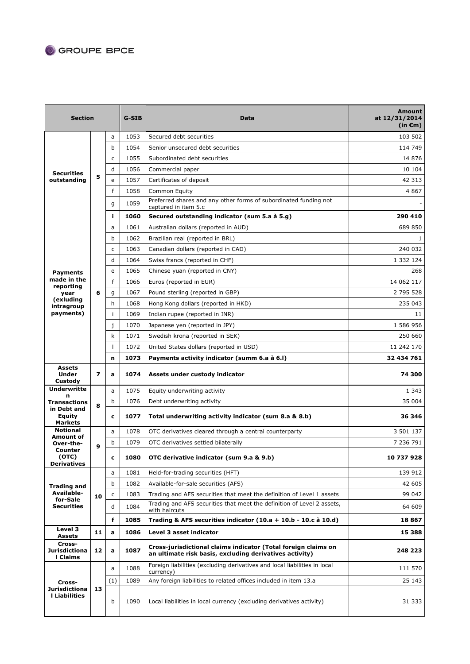## GROUPE BPCE

| <b>Section</b>                                             |                         | G-SIB        | <b>Data</b> | Amount<br>at 12/31/2014<br>$(in \infty)$                                                                                  |            |
|------------------------------------------------------------|-------------------------|--------------|-------------|---------------------------------------------------------------------------------------------------------------------------|------------|
| <b>Securities</b><br>outstanding                           |                         | a            | 1053        | Secured debt securities                                                                                                   | 103 502    |
|                                                            |                         | b            | 1054        | Senior unsecured debt securities                                                                                          | 114 749    |
|                                                            |                         | c            | 1055        | Subordinated debt securities                                                                                              | 14 876     |
|                                                            |                         | d            | 1056        | Commercial paper                                                                                                          | 10 104     |
|                                                            | 5                       | e            | 1057        | Certificates of deposit                                                                                                   | 42 313     |
|                                                            |                         | f            | 1058        | Common Equity                                                                                                             | 4 8 6 7    |
|                                                            |                         | g            | 1059        | Preferred shares and any other forms of subordinated funding not<br>captured in item 5.c                                  |            |
|                                                            |                         | j.           | 1060        | Secured outstanding indicator (sum 5.a à 5.g)                                                                             | 290 410    |
|                                                            |                         | a            | 1061        | Australian dollars (reported in AUD)                                                                                      | 689 850    |
|                                                            |                         | b            | 1062        | Brazilian real (reported in BRL)                                                                                          | 1          |
|                                                            |                         | $\mathsf{C}$ | 1063        | Canadian dollars (reported in CAD)                                                                                        | 240 032    |
|                                                            |                         | d            | 1064        | Swiss francs (reported in CHF)                                                                                            | 1 332 124  |
| <b>Payments</b>                                            |                         | e            | 1065        | Chinese yuan (reported in CNY)                                                                                            | 268        |
| made in the<br>reporting                                   |                         | f            | 1066        | Euros (reported in EUR)                                                                                                   | 14 062 117 |
| year                                                       | 6                       | q            | 1067        | Pound sterling (reported in GBP)                                                                                          | 2 795 528  |
| (exluding<br>intragroup                                    |                         | h            | 1068        | Hong Kong dollars (reported in HKD)                                                                                       | 235 043    |
| payments)                                                  |                         | Ť            | 1069        | Indian rupee (reported in INR)                                                                                            | 11         |
|                                                            |                         | j            | 1070        | Japanese yen (reported in JPY)                                                                                            | 1 586 956  |
|                                                            |                         | k            | 1071        | Swedish krona (reported in SEK)                                                                                           | 250 660    |
|                                                            |                         | $\mathbf{I}$ | 1072        | United States dollars (reported in USD)                                                                                   | 11 242 170 |
|                                                            |                         | n            | 1073        | Payments activity indicator (summ 6.a à 6.1)                                                                              | 32 434 761 |
| <b>Assets</b><br><b>Under</b><br>Custody                   | $\overline{\mathbf{z}}$ | a            | 1074        | Assets under custody indicator                                                                                            | 74 300     |
| <b>Underwritte</b><br>n                                    |                         | a            | 1075        | Equity underwriting activity                                                                                              | 1 3 4 3    |
| Transactions                                               | 8                       | b            | 1076        | Debt underwriting activity                                                                                                | 35 004     |
| in Debt and<br>Equity<br><b>Markets</b>                    |                         | c            | 1077        | Total underwriting activity indicator (sum 8.a & 8.b)                                                                     | 36 346     |
| <b>Notional</b><br>Amount of                               | 9                       | a            | 1078        | OTC derivatives cleared through a central counterparty                                                                    | 3 501 137  |
| Over-the-                                                  |                         | b            | 1079        | OTC derivatives settled bilaterally                                                                                       | 7 236 791  |
| Counter<br>(OTC)<br>Derivatives                            |                         | C            | 1080        | OTC derivative indicator (sum 9.a & 9.b)                                                                                  | 10 737 928 |
| Trading and<br>Available-<br>for-Sale<br><b>Securities</b> | 10                      | a            | 1081        | Held-for-trading securities (HFT)                                                                                         | 139 912    |
|                                                            |                         | b            | 1082        | Available-for-sale securities (AFS)                                                                                       | 42 605     |
|                                                            |                         | c            | 1083        | Trading and AFS securities that meet the definition of Level 1 assets                                                     | 99 042     |
|                                                            |                         | d            | 1084        | Trading and AFS securities that meet the definition of Level 2 assets,<br>with haircuts                                   | 64 609     |
|                                                            |                         | f            | 1085        | Trading & AFS securities indicator $(10.a + 10.b - 10.c a 10.d)$                                                          | 18 867     |
| Level 3<br>Assets                                          | 11                      | a            | 1086        | Level 3 asset indicator                                                                                                   | 15 388     |
| Cross-<br>Jurisdictiona<br>I Claims                        | 12                      | a            | 1087        | Cross-jurisdictional claims indicator (Total foreign claims on<br>an ultimate risk basis, excluding derivatives activity) | 248 223    |
|                                                            |                         | a            | 1088        | Foreign liabilities (excluding derivatives and local liabilities in local<br>currency)                                    | 111 570    |
| Cross-                                                     |                         | (1)          | 1089        | Any foreign liabilities to related offices included in item 13.a                                                          | 25 143     |
| Jurisdictiona<br><b>I</b> Liabilities                      | 13                      | b            | 1090        | Local liabilities in local currency (excluding derivatives activity)                                                      | 31 333     |